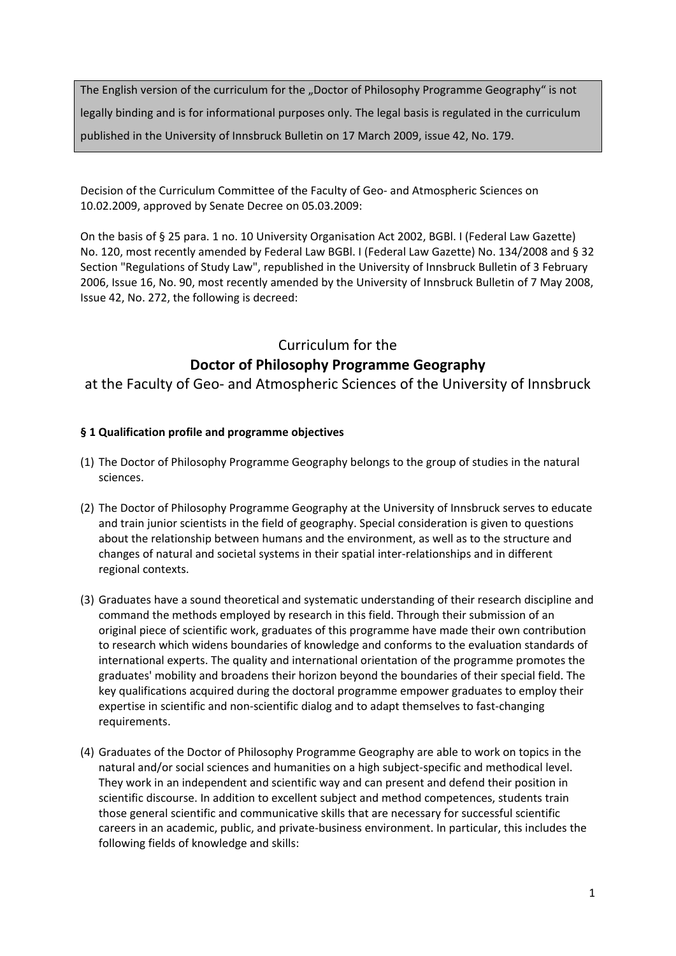The English version of the curriculum for the "Doctor of Philosophy Programme Geography" is not legally binding and is for informational purposes only. The legal basis is regulated in the curriculum published in the University of Innsbruck Bulletin on 17 March 2009, issue 42, No. 179.

Decision of the Curriculum Committee of the Faculty of Geo- and Atmospheric Sciences on 10.02.2009, approved by Senate Decree on 05.03.2009:

On the basis of § 25 para. 1 no. 10 University Organisation Act 2002, BGBl. I (Federal Law Gazette) No. 120, most recently amended by Federal Law BGBl. I (Federal Law Gazette) No. 134/2008 and § 32 Section "Regulations of Study Law", republished in the University of Innsbruck Bulletin of 3 February 2006, Issue 16, No. 90, most recently amended by the University of Innsbruck Bulletin of 7 May 2008, Issue 42, No. 272, the following is decreed:

# Curriculum for the **Doctor of Philosophy Programme Geography**

at the Faculty of Geo‐ and Atmospheric Sciences of the University of Innsbruck

# **§ 1 Qualification profile and programme objectives**

- (1) The Doctor of Philosophy Programme Geography belongs to the group of studies in the natural sciences.
- (2) The Doctor of Philosophy Programme Geography at the University of Innsbruck serves to educate and train junior scientists in the field of geography. Special consideration is given to questions about the relationship between humans and the environment, as well as to the structure and changes of natural and societal systems in their spatial inter‐relationships and in different regional contexts.
- (3) Graduates have a sound theoretical and systematic understanding of their research discipline and command the methods employed by research in this field. Through their submission of an original piece of scientific work, graduates of this programme have made their own contribution to research which widens boundaries of knowledge and conforms to the evaluation standards of international experts. The quality and international orientation of the programme promotes the graduates' mobility and broadens their horizon beyond the boundaries of their special field. The key qualifications acquired during the doctoral programme empower graduates to employ their expertise in scientific and non‐scientific dialog and to adapt themselves to fast‐changing requirements.
- (4) Graduates of the Doctor of Philosophy Programme Geography are able to work on topics in the natural and/or social sciences and humanities on a high subject‐specific and methodical level. They work in an independent and scientific way and can present and defend their position in scientific discourse. In addition to excellent subject and method competences, students train those general scientific and communicative skills that are necessary for successful scientific careers in an academic, public, and private‐business environment. In particular, this includes the following fields of knowledge and skills: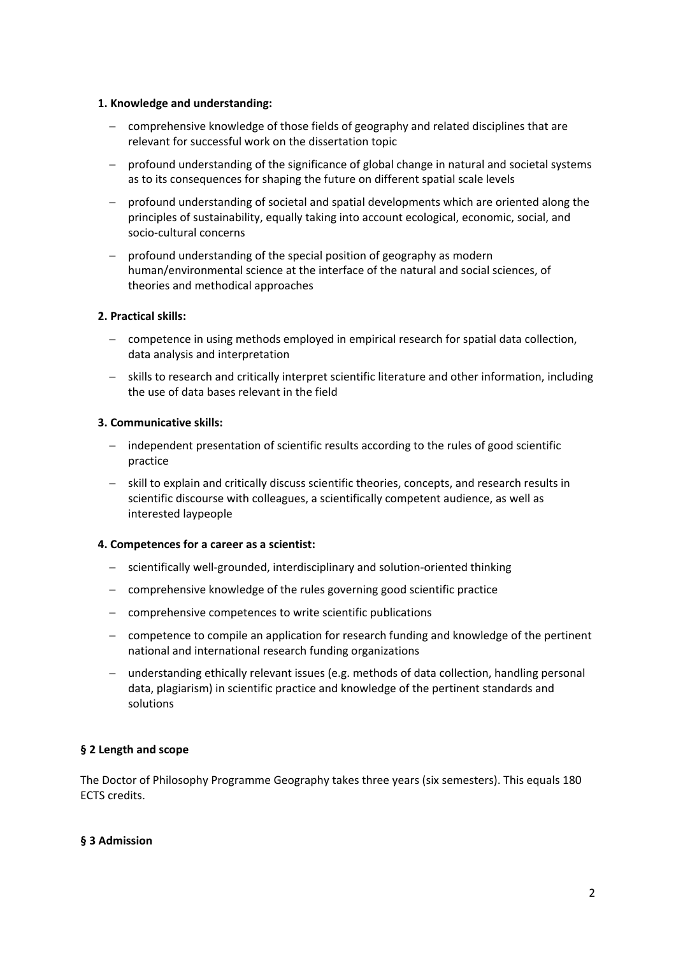#### **1. Knowledge and understanding:**

- comprehensive knowledge of those fields of geography and related disciplines that are relevant for successful work on the dissertation topic
- profound understanding of the significance of global change in natural and societal systems as to its consequences for shaping the future on different spatial scale levels
- profound understanding of societal and spatial developments which are oriented along the principles of sustainability, equally taking into account ecological, economic, social, and socio‐cultural concerns
- profound understanding of the special position of geography as modern human/environmental science at the interface of the natural and social sciences, of theories and methodical approaches

# **2. Practical skills:**

- competence in using methods employed in empirical research for spatial data collection, data analysis and interpretation
- skills to research and critically interpret scientific literature and other information, including the use of data bases relevant in the field

# **3. Communicative skills:**

- independent presentation of scientific results according to the rules of good scientific practice
- skill to explain and critically discuss scientific theories, concepts, and research results in scientific discourse with colleagues, a scientifically competent audience, as well as interested laypeople

## **4. Competences for a career as a scientist:**

- scientifically well-grounded, interdisciplinary and solution-oriented thinking
- comprehensive knowledge of the rules governing good scientific practice
- comprehensive competences to write scientific publications
- competence to compile an application for research funding and knowledge of the pertinent national and international research funding organizations
- understanding ethically relevant issues (e.g. methods of data collection, handling personal data, plagiarism) in scientific practice and knowledge of the pertinent standards and solutions

# **§ 2 Length and scope**

The Doctor of Philosophy Programme Geography takes three years (six semesters). This equals 180 ECTS credits.

## **§ 3 Admission**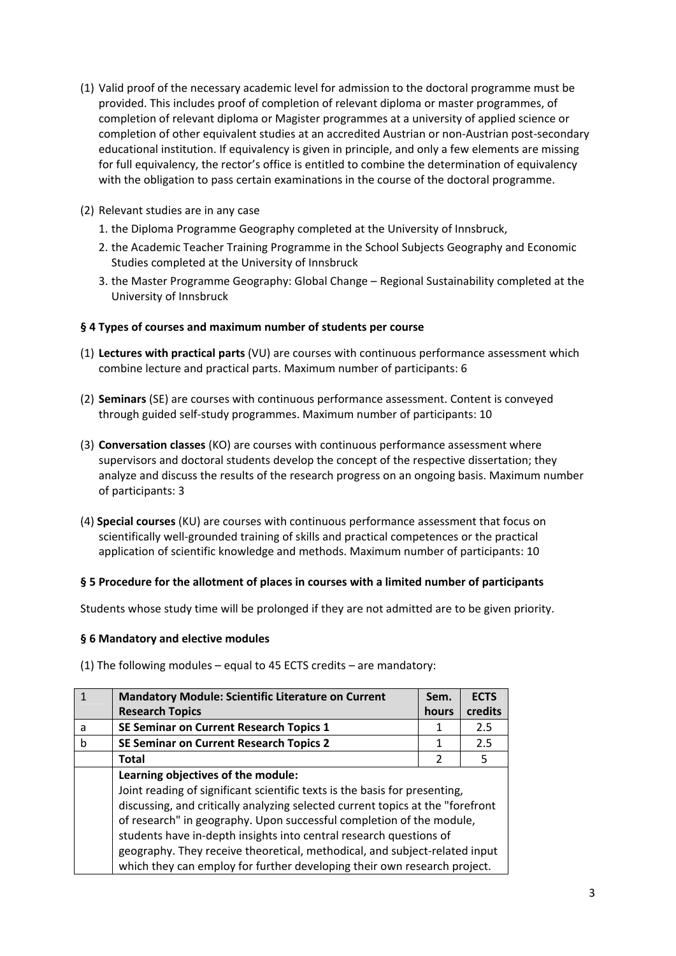- (1) Valid proof of the necessary academic level for admission to the doctoral programme must be provided. This includes proof of completion of relevant diploma or master programmes, of completion of relevant diploma or Magister programmes at a university of applied science or completion of other equivalent studies at an accredited Austrian or non-Austrian post-secondary educational institution. If equivalency is given in principle, and only a few elements are missing for full equivalency, the rector's office is entitled to combine the determination of equivalency with the obligation to pass certain examinations in the course of the doctoral programme.
- (2) Relevant studies are in any case
	- 1. the Diploma Programme Geography completed at the University of Innsbruck,
	- 2. the Academic Teacher Training Programme in the School Subjects Geography and Economic Studies completed at the University of Innsbruck
	- 3. the Master Programme Geography: Global Change Regional Sustainability completed at the University of Innsbruck

# **§ 4 Types of courses and maximum number of students per course**

- (1) **Lectures with practical parts** (VU) are courses with continuous performance assessment which combine lecture and practical parts. Maximum number of participants: 6
- (2) **Seminars** (SE) are courses with continuous performance assessment. Content is conveyed through guided self‐study programmes. Maximum number of participants: 10
- (3) **Conversation classes** (KO) are courses with continuous performance assessment where supervisors and doctoral students develop the concept of the respective dissertation; they analyze and discuss the results of the research progress on an ongoing basis. Maximum number of participants: 3
- (4) **Special courses** (KU) are courses with continuous performance assessment that focus on scientifically well‐grounded training of skills and practical competences or the practical application of scientific knowledge and methods. Maximum number of participants: 10

## **§ 5 Procedure for the allotment of places in courses with a limited number of participants**

Students whose study time will be prolonged if they are not admitted are to be given priority.

## **§ 6 Mandatory and elective modules**

(1) The following modules – equal to 45 ECTS credits – are mandatory:

| $\mathbf{1}$ | <b>Mandatory Module: Scientific Literature on Current</b>                      | Sem.  | <b>ECTS</b> |
|--------------|--------------------------------------------------------------------------------|-------|-------------|
|              | <b>Research Topics</b>                                                         | hours | credits     |
| a            | SE Seminar on Current Research Topics 1                                        | 1     | 2.5         |
| b            | <b>SE Seminar on Current Research Topics 2</b>                                 | 1     | 2.5         |
|              | Total                                                                          | 2     | 5           |
|              | Learning objectives of the module:                                             |       |             |
|              | Joint reading of significant scientific texts is the basis for presenting,     |       |             |
|              | discussing, and critically analyzing selected current topics at the "forefront |       |             |
|              | of research" in geography. Upon successful completion of the module,           |       |             |
|              | students have in-depth insights into central research questions of             |       |             |
|              | geography. They receive theoretical, methodical, and subject-related input     |       |             |
|              | which they can employ for further developing their own research project.       |       |             |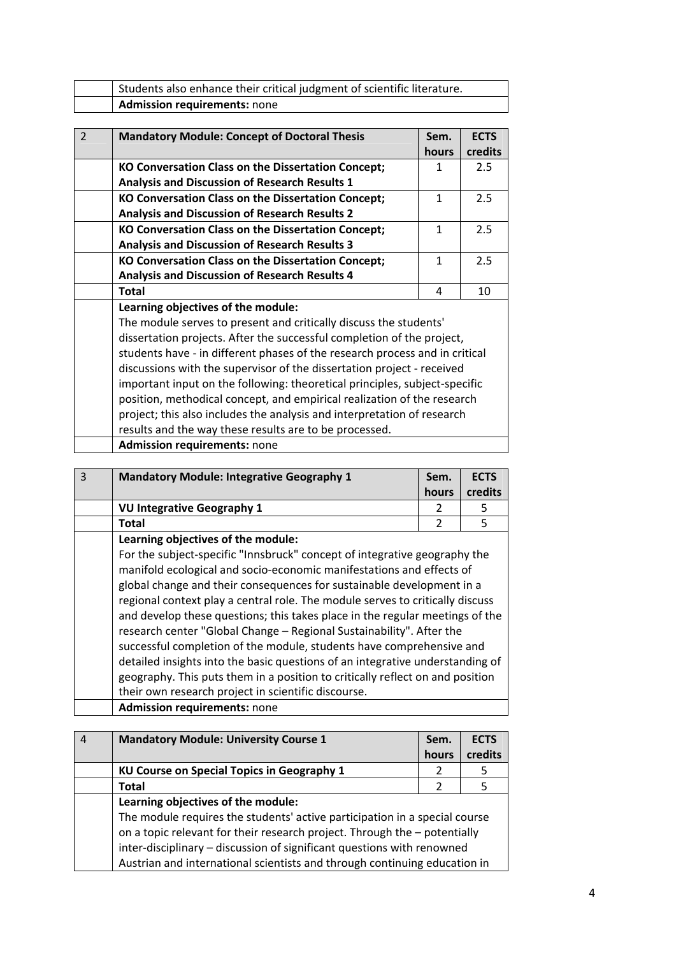| Students also enhance their critical judgment of scientific literature. |
|-------------------------------------------------------------------------|
| Admission requirements: none                                            |

| $\mathfrak{p}$ | <b>Mandatory Module: Concept of Doctoral Thesis</b>                         | Sem.  | <b>ECTS</b> |
|----------------|-----------------------------------------------------------------------------|-------|-------------|
|                |                                                                             | hours | credits     |
|                | KO Conversation Class on the Dissertation Concept;                          | 1     | 2.5         |
|                | <b>Analysis and Discussion of Research Results 1</b>                        |       |             |
|                | KO Conversation Class on the Dissertation Concept;                          | 1     | 2.5         |
|                | <b>Analysis and Discussion of Research Results 2</b>                        |       |             |
|                | KO Conversation Class on the Dissertation Concept;                          | 1     | 2.5         |
|                | <b>Analysis and Discussion of Research Results 3</b>                        |       |             |
|                | KO Conversation Class on the Dissertation Concept;                          | 1     | 2.5         |
|                | <b>Analysis and Discussion of Research Results 4</b>                        |       |             |
|                | <b>Total</b>                                                                | 4     | 10          |
|                | Learning objectives of the module:                                          |       |             |
|                | The module serves to present and critically discuss the students'           |       |             |
|                | dissertation projects. After the successful completion of the project,      |       |             |
|                | students have - in different phases of the research process and in critical |       |             |
|                | discussions with the supervisor of the dissertation project - received      |       |             |
|                | important input on the following: theoretical principles, subject-specific  |       |             |

position, methodical concept, and empirical realization of the research project; this also includes the analysis and interpretation of research results and the way these results are to be processed.

| <b>Admission requirements: none</b> |  |
|-------------------------------------|--|
|-------------------------------------|--|

| ാ | <b>Mandatory Module: Integrative Geography 1</b> | Sem.<br>hours | <b>ECTS</b><br>credits |
|---|--------------------------------------------------|---------------|------------------------|
|   | VU Integrative Geography 1                       |               |                        |
|   | Total                                            |               |                        |
|   | Learning objectives of the module:               |               |                        |

For the subject-specific "Innsbruck" concept of integrative geography the manifold ecological and socio‐economic manifestations and effects of global change and their consequences for sustainable development in a regional context play a central role. The module serves to critically discuss and develop these questions; this takes place in the regular meetings of the research center "Global Change – Regional Sustainability". After the successful completion of the module, students have comprehensive and detailed insights into the basic questions of an integrative understanding of geography. This puts them in a position to critically reflect on and position their own research project in scientific discourse. **Admission requirements:** none

| <b>Mandatory Module: University Course 1</b>                                                                                                                                                                                                                                                                                                         | Sem.<br>hours | <b>ECTS</b><br>credits |
|------------------------------------------------------------------------------------------------------------------------------------------------------------------------------------------------------------------------------------------------------------------------------------------------------------------------------------------------------|---------------|------------------------|
| KU Course on Special Topics in Geography 1                                                                                                                                                                                                                                                                                                           |               | 5                      |
| Total                                                                                                                                                                                                                                                                                                                                                | 2             | 5                      |
| Learning objectives of the module:<br>The module requires the students' active participation in a special course<br>on a topic relevant for their research project. Through the - potentially<br>inter-disciplinary - discussion of significant questions with renowned<br>Austrian and international scientists and through continuing education in |               |                        |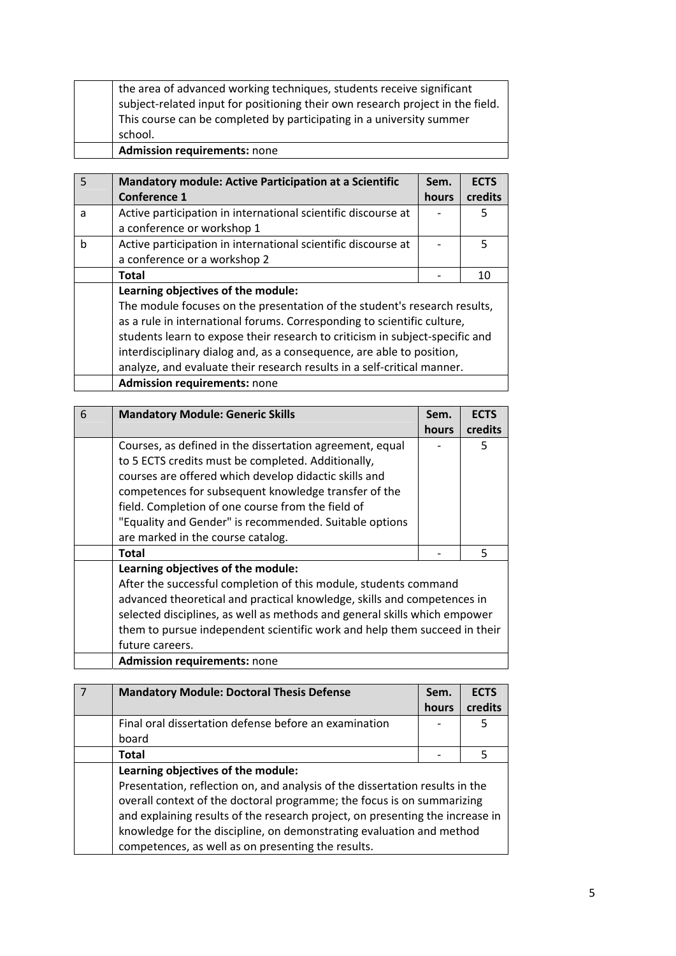| <b>Admission requirements: none</b>                                            |
|--------------------------------------------------------------------------------|
| school.                                                                        |
| This course can be completed by participating in a university summer           |
| subject-related input for positioning their own research project in the field. |
| the area of advanced working techniques, students receive significant          |

| $\overline{5}$ | <b>Mandatory module: Active Participation at a Scientific</b>                | Sem.         | <b>ECTS</b> |
|----------------|------------------------------------------------------------------------------|--------------|-------------|
|                | Conference 1                                                                 | <b>hours</b> | credits     |
| a              | Active participation in international scientific discourse at                |              | 5           |
|                | a conference or workshop 1                                                   |              |             |
| b              | Active participation in international scientific discourse at                |              | 5           |
|                | a conference or a workshop 2                                                 |              |             |
|                | <b>Total</b>                                                                 |              | 10          |
|                | Learning objectives of the module:                                           |              |             |
|                | The module focuses on the presentation of the student's research results,    |              |             |
|                | as a rule in international forums. Corresponding to scientific culture,      |              |             |
|                | students learn to expose their research to criticism in subject-specific and |              |             |
|                | interdisciplinary dialog and, as a consequence, are able to position,        |              |             |
|                | analyze, and evaluate their research results in a self-critical manner.      |              |             |
|                | <b>Admission requirements: none</b>                                          |              |             |

| 6 | <b>Mandatory Module: Generic Skills</b>                                   | Sem.  | <b>ECTS</b> |
|---|---------------------------------------------------------------------------|-------|-------------|
|   |                                                                           | hours | credits     |
|   | Courses, as defined in the dissertation agreement, equal                  |       | 5           |
|   | to 5 ECTS credits must be completed. Additionally,                        |       |             |
|   | courses are offered which develop didactic skills and                     |       |             |
|   | competences for subsequent knowledge transfer of the                      |       |             |
|   | field. Completion of one course from the field of                         |       |             |
|   | "Equality and Gender" is recommended. Suitable options                    |       |             |
|   | are marked in the course catalog.                                         |       |             |
|   | Total                                                                     |       | 5           |
|   | Learning objectives of the module:                                        |       |             |
|   | After the successful completion of this module, students command          |       |             |
|   | advanced theoretical and practical knowledge, skills and competences in   |       |             |
|   | selected disciplines, as well as methods and general skills which empower |       |             |
|   | them to pursue independent scientific work and help them succeed in their |       |             |
|   | future careers.                                                           |       |             |
|   | <b>Admission requirements: none</b>                                       |       |             |

| <b>Mandatory Module: Doctoral Thesis Defense</b>                              | Sem.  | <b>ECTS</b> |
|-------------------------------------------------------------------------------|-------|-------------|
|                                                                               | hours | credits     |
| Final oral dissertation defense before an examination                         |       | 5           |
| board                                                                         |       |             |
| <b>Total</b>                                                                  |       | 5           |
| Learning objectives of the module:                                            |       |             |
| Presentation, reflection on, and analysis of the dissertation results in the  |       |             |
| overall context of the doctoral programme; the focus is on summarizing        |       |             |
| and explaining results of the research project, on presenting the increase in |       |             |
| knowledge for the discipline, on demonstrating evaluation and method          |       |             |
| competences, as well as on presenting the results.                            |       |             |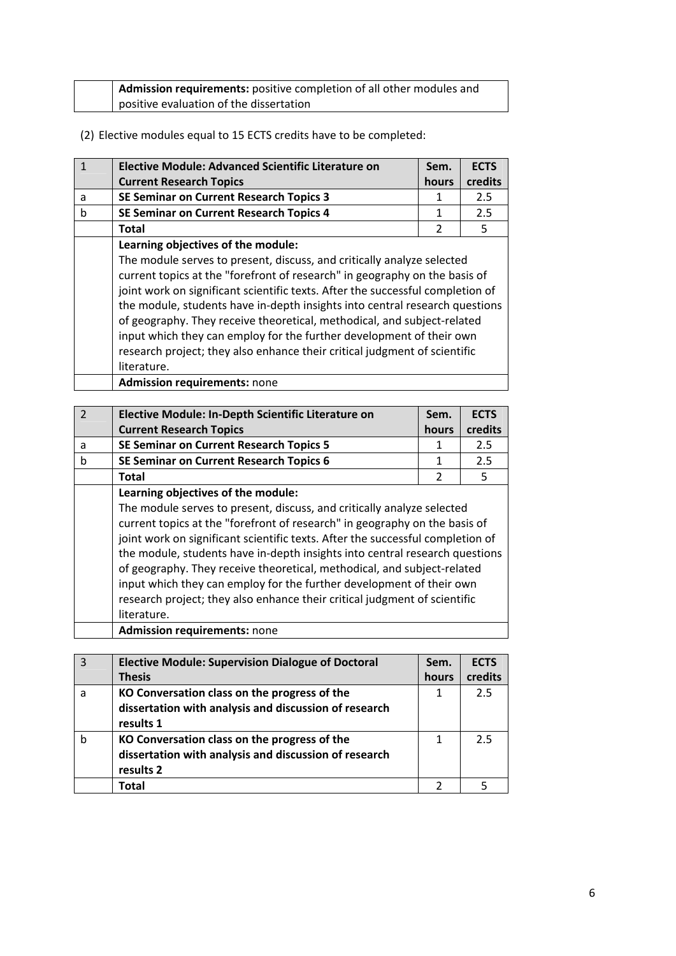|  | <b>Admission requirements:</b> positive completion of all other modules and |
|--|-----------------------------------------------------------------------------|
|  | positive evaluation of the dissertation                                     |

(2) Elective modules equal to 15 ECTS credits have to be completed:

|   | <b>Elective Module: Advanced Scientific Literature on</b>                      | Sem.           | <b>ECTS</b> |
|---|--------------------------------------------------------------------------------|----------------|-------------|
|   | <b>Current Research Topics</b>                                                 | <b>hours</b>   | credits     |
| a | SE Seminar on Current Research Topics 3                                        | 1              | 2.5         |
| b | <b>SE Seminar on Current Research Topics 4</b>                                 | 1              | 2.5         |
|   | <b>Total</b>                                                                   | $\overline{2}$ | 5           |
|   | Learning objectives of the module:                                             |                |             |
|   | The module serves to present, discuss, and critically analyze selected         |                |             |
|   | current topics at the "forefront of research" in geography on the basis of     |                |             |
|   | joint work on significant scientific texts. After the successful completion of |                |             |
|   | the module, students have in-depth insights into central research questions    |                |             |
|   | of geography. They receive theoretical, methodical, and subject-related        |                |             |
|   | input which they can employ for the further development of their own           |                |             |
|   | research project; they also enhance their critical judgment of scientific      |                |             |
|   | literature.                                                                    |                |             |
|   | <b>Admission requirements: none</b>                                            |                |             |

| $\mathcal{P}$ | Elective Module: In-Depth Scientific Literature on                                                                                                                                                                                                                                                                                                                                                                                                                                                                                                                   | Sem.           | <b>ECTS</b> |
|---------------|----------------------------------------------------------------------------------------------------------------------------------------------------------------------------------------------------------------------------------------------------------------------------------------------------------------------------------------------------------------------------------------------------------------------------------------------------------------------------------------------------------------------------------------------------------------------|----------------|-------------|
|               | <b>Current Research Topics</b>                                                                                                                                                                                                                                                                                                                                                                                                                                                                                                                                       | hours          | credits     |
| a             | <b>SE Seminar on Current Research Topics 5</b>                                                                                                                                                                                                                                                                                                                                                                                                                                                                                                                       | 1              | 2.5         |
| h             | SE Seminar on Current Research Topics 6                                                                                                                                                                                                                                                                                                                                                                                                                                                                                                                              | 1              | 2.5         |
|               | <b>Total</b>                                                                                                                                                                                                                                                                                                                                                                                                                                                                                                                                                         | $\overline{2}$ | 5           |
|               | Learning objectives of the module:                                                                                                                                                                                                                                                                                                                                                                                                                                                                                                                                   |                |             |
|               | The module serves to present, discuss, and critically analyze selected<br>current topics at the "forefront of research" in geography on the basis of<br>joint work on significant scientific texts. After the successful completion of<br>the module, students have in-depth insights into central research questions<br>of geography. They receive theoretical, methodical, and subject-related<br>input which they can employ for the further development of their own<br>research project; they also enhance their critical judgment of scientific<br>literature. |                |             |
|               | <b>Admission requirements: none</b>                                                                                                                                                                                                                                                                                                                                                                                                                                                                                                                                  |                |             |

| $\mathbf{R}$ | <b>Elective Module: Supervision Dialogue of Doctoral</b> | Sem.  | <b>ECTS</b> |
|--------------|----------------------------------------------------------|-------|-------------|
|              | <b>Thesis</b>                                            | hours | credits     |
| a            | KO Conversation class on the progress of the             |       | 2.5         |
|              | dissertation with analysis and discussion of research    |       |             |
|              | results 1                                                |       |             |
|              | KO Conversation class on the progress of the             |       | 2.5         |
|              | dissertation with analysis and discussion of research    |       |             |
|              | results 2                                                |       |             |
|              | Total                                                    |       |             |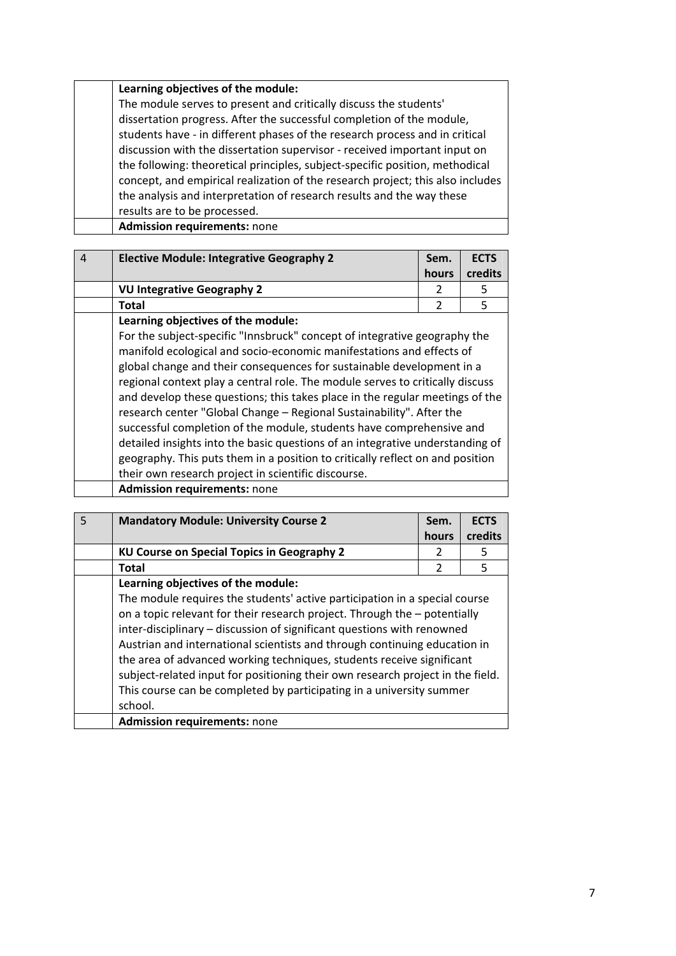# **Learning objectives of the module:**

The module serves to present and critically discuss the students' dissertation progress. After the successful completion of the module, students have ‐ in different phases of the research process and in critical discussion with the dissertation supervisor ‐ received important input on the following: theoretical principles, subject‐specific position, methodical concept, and empirical realization of the research project; this also includes the analysis and interpretation of research results and the way these results are to be processed.

**Admission requirements:** none

| $\overline{4}$ | <b>Elective Module: Integrative Geography 2</b>                                                                                                               | Sem.  | <b>ECTS</b> |
|----------------|---------------------------------------------------------------------------------------------------------------------------------------------------------------|-------|-------------|
|                |                                                                                                                                                               | hours | credits     |
|                | <b>VU Integrative Geography 2</b>                                                                                                                             |       | 5           |
|                | Total                                                                                                                                                         | 2     | 5           |
|                | Learning objectives of the module:                                                                                                                            |       |             |
|                | For the subject-specific "Innsbruck" concept of integrative geography the                                                                                     |       |             |
|                | manifold ecological and socio-economic manifestations and effects of                                                                                          |       |             |
|                | global change and their consequences for sustainable development in a                                                                                         |       |             |
|                | regional context play a central role. The module serves to critically discuss<br>and develop these questions; this takes place in the regular meetings of the |       |             |
|                |                                                                                                                                                               |       |             |
|                | research center "Global Change - Regional Sustainability". After the                                                                                          |       |             |
|                | successful completion of the module, students have comprehensive and                                                                                          |       |             |
|                | detailed insights into the basic questions of an integrative understanding of                                                                                 |       |             |
|                | geography. This puts them in a position to critically reflect on and position                                                                                 |       |             |
|                | their own research project in scientific discourse.                                                                                                           |       |             |
|                | <b>Admission requirements: none</b>                                                                                                                           |       |             |

| $\overline{5}$ | <b>Mandatory Module: University Course 2</b>                                   | Sem.           | <b>ECTS</b> |
|----------------|--------------------------------------------------------------------------------|----------------|-------------|
|                |                                                                                | hours          | credits     |
|                | KU Course on Special Topics in Geography 2                                     | $\mathcal{P}$  | 5           |
|                | Total                                                                          | $\mathfrak{p}$ | 5           |
|                | Learning objectives of the module:                                             |                |             |
|                | The module requires the students' active participation in a special course     |                |             |
|                | on a topic relevant for their research project. Through the - potentially      |                |             |
|                | inter-disciplinary - discussion of significant questions with renowned         |                |             |
|                | Austrian and international scientists and through continuing education in      |                |             |
|                | the area of advanced working techniques, students receive significant          |                |             |
|                | subject-related input for positioning their own research project in the field. |                |             |
|                | This course can be completed by participating in a university summer           |                |             |
|                | school.                                                                        |                |             |
|                | <b>Admission requirements: none</b>                                            |                |             |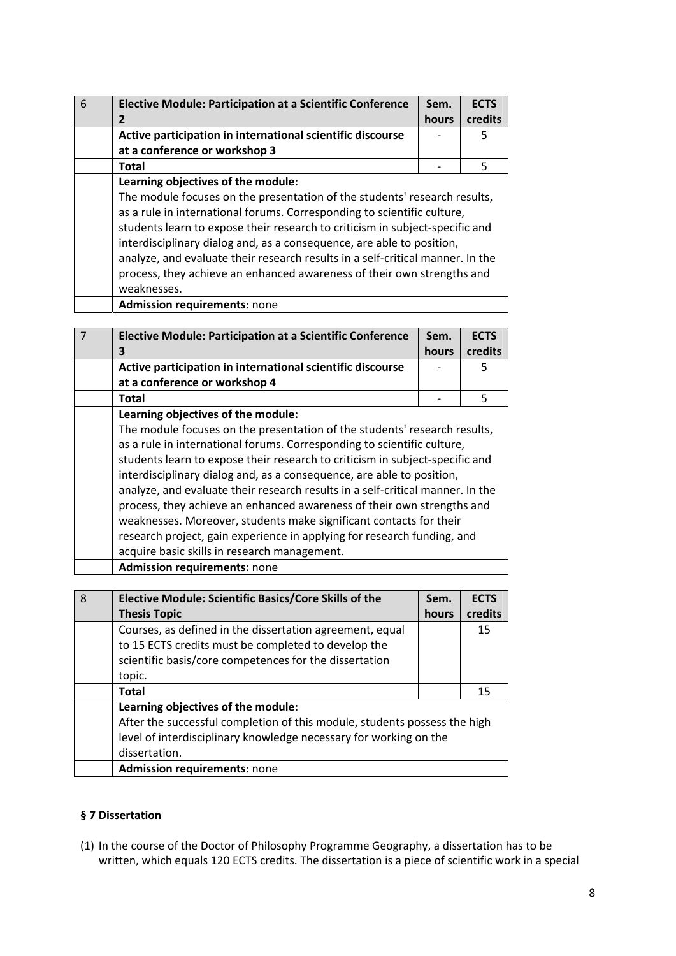| 6 | <b>Elective Module: Participation at a Scientific Conference</b>                                                                                                                                                                                                                                                                                                                                                                                                                                                               | Sem.  | <b>ECTS</b> |
|---|--------------------------------------------------------------------------------------------------------------------------------------------------------------------------------------------------------------------------------------------------------------------------------------------------------------------------------------------------------------------------------------------------------------------------------------------------------------------------------------------------------------------------------|-------|-------------|
|   | 2                                                                                                                                                                                                                                                                                                                                                                                                                                                                                                                              | hours | credits     |
|   | Active participation in international scientific discourse                                                                                                                                                                                                                                                                                                                                                                                                                                                                     |       | 5           |
|   | at a conference or workshop 3                                                                                                                                                                                                                                                                                                                                                                                                                                                                                                  |       |             |
|   | <b>Total</b>                                                                                                                                                                                                                                                                                                                                                                                                                                                                                                                   |       | 5           |
|   | Learning objectives of the module:<br>The module focuses on the presentation of the students' research results,<br>as a rule in international forums. Corresponding to scientific culture,<br>students learn to expose their research to criticism in subject-specific and<br>interdisciplinary dialog and, as a consequence, are able to position,<br>analyze, and evaluate their research results in a self-critical manner. In the<br>process, they achieve an enhanced awareness of their own strengths and<br>weaknesses. |       |             |
|   | <b>Admission requirements: none</b>                                                                                                                                                                                                                                                                                                                                                                                                                                                                                            |       |             |

| $\overline{7}$ | <b>Elective Module: Participation at a Scientific Conference</b>               | Sem.  | <b>ECTS</b> |
|----------------|--------------------------------------------------------------------------------|-------|-------------|
|                | 3                                                                              | hours | credits     |
|                | Active participation in international scientific discourse                     |       | 5           |
|                | at a conference or workshop 4                                                  |       |             |
|                | <b>Total</b>                                                                   |       | 5           |
|                | Learning objectives of the module:                                             |       |             |
|                | The module focuses on the presentation of the students' research results,      |       |             |
|                | as a rule in international forums. Corresponding to scientific culture,        |       |             |
|                | students learn to expose their research to criticism in subject-specific and   |       |             |
|                | interdisciplinary dialog and, as a consequence, are able to position,          |       |             |
|                | analyze, and evaluate their research results in a self-critical manner. In the |       |             |
|                | process, they achieve an enhanced awareness of their own strengths and         |       |             |
|                | weaknesses. Moreover, students make significant contacts for their             |       |             |
|                | research project, gain experience in applying for research funding, and        |       |             |
|                | acquire basic skills in research management.                                   |       |             |
|                | <b>Admission requirements: none</b>                                            |       |             |

| 8 | <b>Elective Module: Scientific Basics/Core Skills of the</b>              | Sem.  | <b>ECTS</b> |
|---|---------------------------------------------------------------------------|-------|-------------|
|   | <b>Thesis Topic</b>                                                       | hours | credits     |
|   | Courses, as defined in the dissertation agreement, equal                  |       | 15          |
|   | to 15 ECTS credits must be completed to develop the                       |       |             |
|   | scientific basis/core competences for the dissertation                    |       |             |
|   | topic.                                                                    |       |             |
|   | <b>Total</b>                                                              |       | 15          |
|   | Learning objectives of the module:                                        |       |             |
|   | After the successful completion of this module, students possess the high |       |             |
|   | level of interdisciplinary knowledge necessary for working on the         |       |             |
|   | dissertation.                                                             |       |             |
|   | <b>Admission requirements: none</b>                                       |       |             |

# **§ 7 Dissertation**

(1) In the course of the Doctor of Philosophy Programme Geography, a dissertation has to be written, which equals 120 ECTS credits. The dissertation is a piece of scientific work in a special